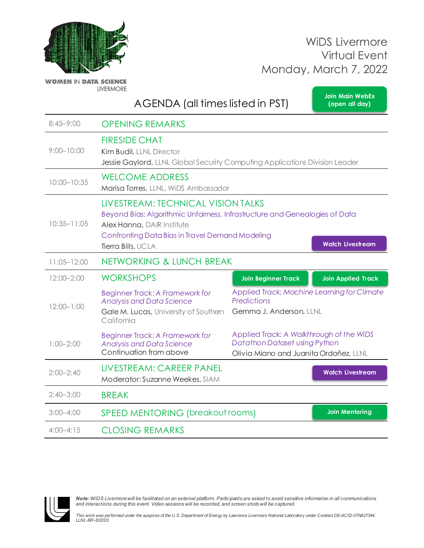**[Join Main WebEx](https://llnlfed.webex.com/llnlfed/j.php?MTID=m9b44390b614d9617228fa4adb7c4afc5) (open all day)**



**WOMEN IN DATA SCIENCE LIVERMORE** 

AGENDA (all times listed in PST)

| $8:45 - 9:00$   | <b>OPENING REMARKS</b>                                                                                                                                                                                                                              |                                                                                                                     |                           |
|-----------------|-----------------------------------------------------------------------------------------------------------------------------------------------------------------------------------------------------------------------------------------------------|---------------------------------------------------------------------------------------------------------------------|---------------------------|
| $9:00 - 10:00$  | <b>FIRESIDE CHAT</b><br>Kim Budil, LLNL Director<br>Jessie Gaylord, LLNL Global Security Computing Applications Division Leader                                                                                                                     |                                                                                                                     |                           |
| $10:00 - 10:35$ | <b>WELCOME ADDRESS</b><br>Marisa Torres, LLNL, WiDS Ambassador                                                                                                                                                                                      |                                                                                                                     |                           |
| $10:35 - 11:05$ | LIVESTREAM: TECHNICAL VISION TALKS<br>Beyond Bias: Algorithmic Unfairness, Infrastructure and Genealogies of Data<br>Alex Hanna, DAIR Institute<br>Confronting Data Bias in Travel Demand Modeling<br><b>Watch Livestream</b><br>Tierra Bills, UCLA |                                                                                                                     |                           |
| $11:05 - 12:00$ | NETWORKING & LUNCH BREAK                                                                                                                                                                                                                            |                                                                                                                     |                           |
| $12:00 - 2:00$  | <b>WORKSHOPS</b>                                                                                                                                                                                                                                    | <b>Join Beginner Track</b>                                                                                          | <b>Join Applied Track</b> |
| $12:00 - 1:00$  | <b>Beginner Track: A Framework for</b><br><b>Analysis and Data Science</b><br>Gale M. Lucas, University of Southern<br>California                                                                                                                   | Applied Track: Machine Learning for Climate<br><b>Predictions</b><br>Gemma J. Anderson, LLNL                        |                           |
| $1:00 - 2:00$   | <b>Beginner Track: A Framework for</b><br><b>Analysis and Data Science</b><br>Continuation from above                                                                                                                                               | Applied Track: A Walkthrough of the WiDS<br>Datathon Dataset using Python<br>Olivia Miano and Juanita Ordoñez, LLNL |                           |
| $2:00 - 2:40$   | LIVESTREAM: CAREER PANEL<br>Moderator: Suzanne Weekes, SIAM                                                                                                                                                                                         |                                                                                                                     | <b>Watch Livestream</b>   |
| $2:40 - 3:00$   | <b>BREAK</b>                                                                                                                                                                                                                                        |                                                                                                                     |                           |
| $3:00 - 4:00$   | <b>SPEED MENTORING (breakout rooms)</b>                                                                                                                                                                                                             |                                                                                                                     | <b>Join Mentoring</b>     |
| $4:00 - 4:15$   | <b>CLOSING REMARKS</b>                                                                                                                                                                                                                              |                                                                                                                     |                           |

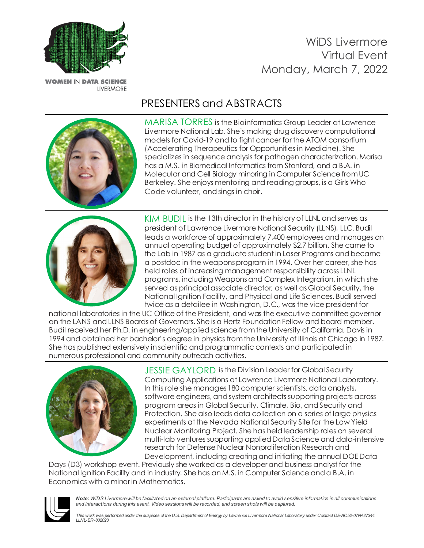

**WOMEN IN DATA SCIENCE LIVERMORE** 

# PRESENTERS and ABSTRACTS



MARISA TORRES is the Bioinformatics Group Leader at Lawrence Livermore National Lab. She's making drug discovery computational models for Covid-19 and to fight cancer for the ATOM consortium (Accelerating Therapeutics for Opportunities in Medicine). She specializes in sequence analysis for pathogen characterization. Marisa has a M.S. in Biomedical Informatics from Stanford, and a B.A. in Molecular and Cell Biology minoring in Computer Science from UC Berkeley. She enjoys mentoring and reading groups, is a Girls Who Code volunteer, and sings in choir.



KIM BUDIL is the 13th director in the historyof LLNL and serves as president of Lawrence Livermore National Security (LLNS), LLC. Budil leads a workforce of approximately 7,400 employees and manages an annual operating budget of approximately \$2.7 billion. She came to the Lab in 1987 as a graduate student in Laser Programs andbecame a postdoc in the weaponsprogram in 1994. Over her career, she has held roles of increasing management responsibility across LLNL programs, including Weaponsand Complex Integration, in which she served as principal associate director, as well as Global Security, the National Ignition Facility, and Physical and Life Sciences. Budil served twice as a detailee in Washington, D.C., was the vice president for

national laboratories in the UC Office of the President, and was the executive committee governor on the LANS andLLNS Boardsof Governors. She isa Hertz Foundation Fellow and board member. Budil received her Ph.D. inengineering/appliedscience fromthe University of California, Davis in 1994 and obtained her bachelor's degree in physics fromthe University of Illinois at Chicago in 1987. She has published extensively in scientific and programmatic contexts and participated in numerous professional and community outreach activities.



JESSIE GAYLORD is the Division Leader for Global Security Computing Applications at Lawrence Livermore National Laboratory. In this role she manages 180 computer scientists, data analysts, software engineers, and system architects supporting projects across program areas in Global Security, Climate, Bio, and Security and Protection. She also leads data collection on a series of large physics experiments at the Nevada National Security Site for the Low Yield Nuclear Monitoring Project. She has held leadership roles on several multi-lab ventures supporting applied Data Science and data-intensive research for Defense Nuclear Nonproliferation Research and Development, including creating and initiating the annual DOE Data

Days (D3) workshop event. Previously she worked as a developer and business analyst for the National Ignition Facility and in industry. She has an M.S. in Computer Science and a B.A. in Economics with a minor in Mathematics.

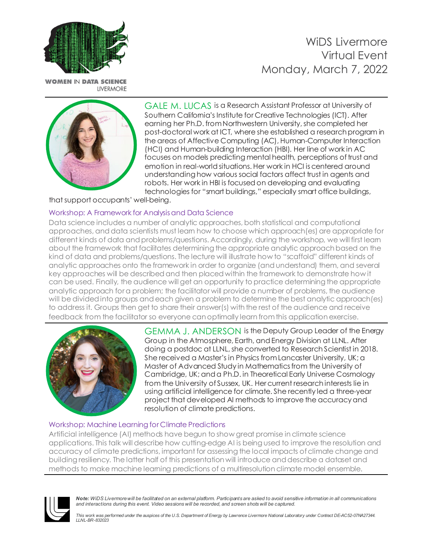

**WOMEN IN DATA SCIENCE** LIVERMORE



GALE M. LUCAS is a Research Assistant Professor at University of Southern California's Institute for Creative Technologies (ICT). After earning her Ph.D. from Northwestern University, she completed her post-doctoral work at ICT, where she established a researchprogram in the areas of Affective Computing (AC), Human-Computer Interaction (HCI) and Human-building Interaction (HBI). Her line of work in AC focuses on models predicting mental health, perceptions of trust and emotion in real-worldsituations. Her work in HCI iscentered around understanding how various social factors affect trust in agents and robots. Her work in HBI is focusedon developing and evaluating technologies for "smart buildings," especially smart office buildings,

that support occupants' well-being.

#### Workshop: A Framework for Analysisand Data Science

Data science includes a number of analytic approaches, both statistical and computational approaches, and data scientists must learn how to choose which approach(es) are appropriate for different kinds of data and problems/questions. Accordingly, during the workshop, we will first learn about the framework that facilitates determining the appropriate analytic approachbased on the kind of data and problems/questions. The lecture will illustrate how to "scaffold" different kinds of analytic approaches onto the framework in order to organize (andunderstand) them, and several key approaches will be describedand then placed within the framework to demonstrate how it can be used. Finally, the audience will get an opportunity to practice determining the appropriate analytic approach fora problem; the facilitator will provide a number of problems, the audience will be dividedinto groups andeach given a problem to determine the best analytic approach(es) to address it. Groups then get to share their answer(s) with the rest of the audience and receive feedback from the facilitator so everyone can optimally learn from this application exercise.



GEMMA J. ANDERSON is the Deputy Group Leader of the Energy Group in the Atmosphere, Earth, and Energy Division at LLNL. After doing a postdoc at LLNL, she converted to Research Scientist in 2018. She received a Master's in Physics from Lancaster University, UK; a Master of Advanced Study in Mathematics from the University of Cambridge, UK; and a Ph.D. in Theoretical Early Universe Cosmology from the University of Sussex, UK. Her current research interests lie in using artificial intelligence for climate. She recently led a three-year project that developed AI methods to improve the accuracy and resolution of climate predictions.

#### Workshop: Machine Learning for Climate Predictions

Artificial intelligence (AI) methods have begun to show great promise in climate science applications. This talk will describe how cutting-edge AI is being used to improve the resolution and accuracy of climate predictions, important for assessing the local impacts of climate change and building resiliency. The latter half of this presentation will introduce and describe a dataset and methods to make machine learning predictions of a multiresolution climate model ensemble.